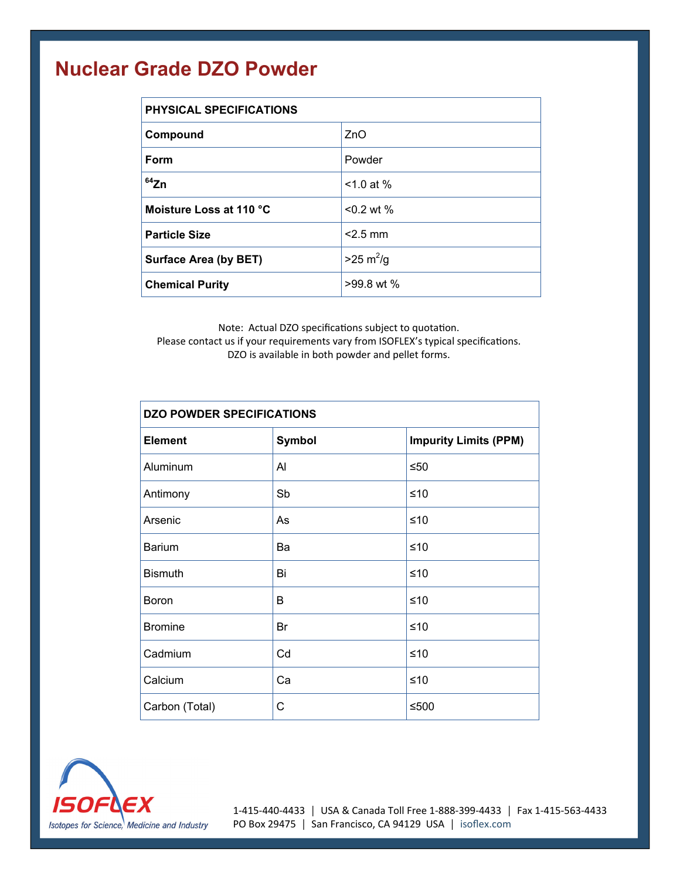## **Nuclear Grade DZO Powder**

| <b>PHYSICAL SPECIFICATIONS</b> |                            |  |
|--------------------------------|----------------------------|--|
| Compound                       | ZnO                        |  |
| Form                           | Powder                     |  |
| $64$ Zn                        | $< 1.0$ at %               |  |
| Moisture Loss at 110 °C        | $< 0.2$ wt %               |  |
| <b>Particle Size</b>           | $<$ 2.5 mm                 |  |
| <b>Surface Area (by BET)</b>   | $>25 \text{ m}^2/\text{g}$ |  |
| <b>Chemical Purity</b>         | $>99.8$ wt %               |  |

Note: Actual DZO specifications subject to quotation. Please contact us if your requirements vary from ISOFLEX's typical specifications. DZO is available in both powder and pellet forms.

| <b>DZO POWDER SPECIFICATIONS</b> |               |                              |  |
|----------------------------------|---------------|------------------------------|--|
| <b>Element</b>                   | <b>Symbol</b> | <b>Impurity Limits (PPM)</b> |  |
| Aluminum                         | Al            | $≤50$                        |  |
| Antimony                         | Sb            | ≤10                          |  |
| Arsenic                          | As            | $≤10$                        |  |
| <b>Barium</b>                    | Ba            | $≤10$                        |  |
| <b>Bismuth</b>                   | Bi            | $≤10$                        |  |
| Boron                            | B             | ≤10                          |  |
| <b>Bromine</b>                   | Br            | $≤10$                        |  |
| Cadmium                          | Cd            | $≤10$                        |  |
| Calcium                          | Ca            | $≤10$                        |  |
| Carbon (Total)                   | C             | ≤500                         |  |